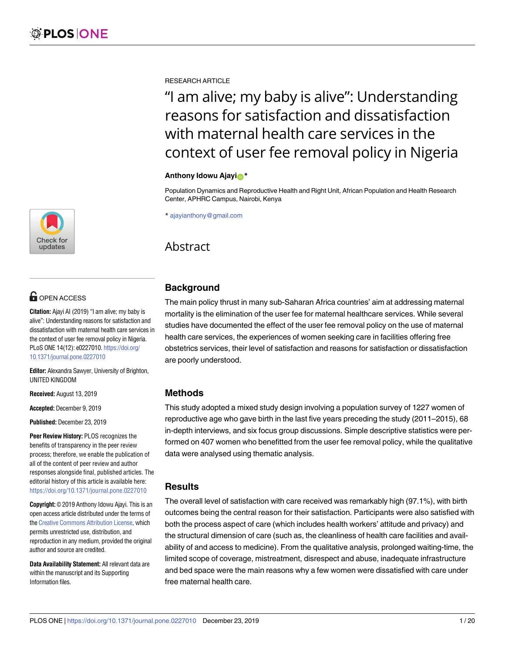<u>[a1111111111](http://crossmark.crossref.org/dialog/?doi=10.1371/journal.pone.0227010&domain=pdf&date_stamp=2019-12-23)1111111111111111111</u> **a**1111 [a1111111111](http://crossmark.crossref.org/dialog/?doi=10.1371/journal.pone.0227010&domain=pdf&date_stamp=2019-12-23) Check for updates

# **OPEN ACCESS**

**Citation:** Ajayi AI (2019) "I am alive; my baby is alive": Understanding reasons for satisfaction and dissatisfaction with maternal health care services in the context of user fee removal policy in Nigeria. PLoS ONE 14(12): e0227010. [https://doi.org/](https://doi.org/10.1371/journal.pone.0227010) [10.1371/journal.pone.0227010](https://doi.org/10.1371/journal.pone.0227010)

**Editor:** Alexandra Sawyer, University of Brighton, UNITED KINGDOM

**Received:** August 13, 2019

**Accepted:** December 9, 2019

**Published:** December 23, 2019

**Peer Review History:** PLOS recognizes the benefits of transparency in the peer review process; therefore, we enable the publication of all of the content of peer review and author responses alongside final, published articles. The editorial history of this article is available here: <https://doi.org/10.1371/journal.pone.0227010>

**Copyright:** © 2019 Anthony Idowu Ajayi. This is an open access article distributed under the terms of the Creative [Commons](http://creativecommons.org/licenses/by/4.0/) Attribution License, which permits unrestricted use, distribution, and reproduction in any medium, provided the original author and source are credited.

**Data Availability Statement:** All relevant data are within the manuscript and its Supporting Information files.

RESEARCH ARTICLE

# "I am alive; my baby is alive": Understanding reasons for satisfaction and dissatisfaction with maternal health care services in the context of user fee removal policy in Nigeria

#### **Anthony Idowu Ajayi**<sup>\*</sup>

Population Dynamics and Reproductive Health and Right Unit, African Population and Health Research Center, APHRC Campus, Nairobi, Kenya

\* ajayianthony@gmail.com

## Abstract

## **Background**

The main policy thrust in many sub-Saharan Africa countries' aim at addressing maternal mortality is the elimination of the user fee for maternal healthcare services. While several studies have documented the effect of the user fee removal policy on the use of maternal health care services, the experiences of women seeking care in facilities offering free obstetrics services, their level of satisfaction and reasons for satisfaction or dissatisfaction are poorly understood.

## **Methods**

This study adopted a mixed study design involving a population survey of 1227 women of reproductive age who gave birth in the last five years preceding the study (2011–2015), 68 in-depth interviews, and six focus group discussions. Simple descriptive statistics were performed on 407 women who benefitted from the user fee removal policy, while the qualitative data were analysed using thematic analysis.

## **Results**

The overall level of satisfaction with care received was remarkably high (97.1%), with birth outcomes being the central reason for their satisfaction. Participants were also satisfied with both the process aspect of care (which includes health workers' attitude and privacy) and the structural dimension of care (such as, the cleanliness of health care facilities and availability of and access to medicine). From the qualitative analysis, prolonged waiting-time, the limited scope of coverage, mistreatment, disrespect and abuse, inadequate infrastructure and bed space were the main reasons why a few women were dissatisfied with care under free maternal health care.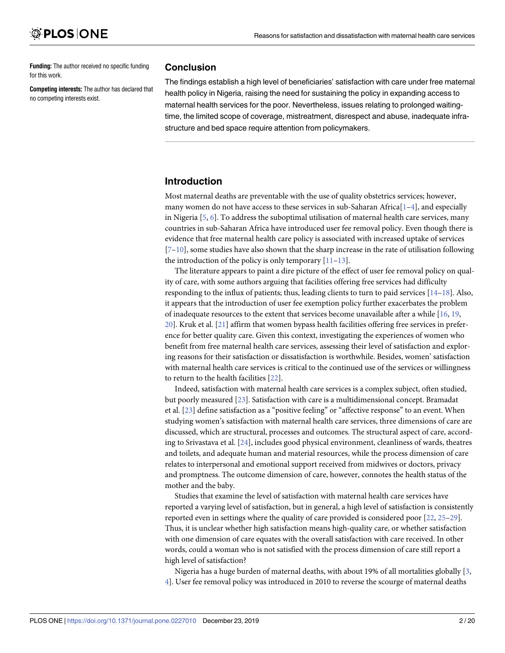<span id="page-1-0"></span>**Funding:** The author received no specific funding for this work.

**Competing interests:** The author has declared that no competing interests exist.

#### **Conclusion**

The findings establish a high level of beneficiaries' satisfaction with care under free maternal health policy in Nigeria, raising the need for sustaining the policy in expanding access to maternal health services for the poor. Nevertheless, issues relating to prolonged waitingtime, the limited scope of coverage, mistreatment, disrespect and abuse, inadequate infrastructure and bed space require attention from policymakers.

## **Introduction**

Most maternal deaths are preventable with the use of quality obstetrics services; however, many women do not have access to these services in sub-Saharan Africa $[1-4]$ , and especially in Nigeria [[5](#page-17-0), [6\]](#page-17-0). To address the suboptimal utilisation of maternal health care services, many countries in sub-Saharan Africa have introduced user fee removal policy. Even though there is evidence that free maternal health care policy is associated with increased uptake of services  $[7-10]$  $[7-10]$ , some studies have also shown that the sharp increase in the rate of utilisation following the introduction of the policy is only temporary  $[11–13]$  $[11–13]$  $[11–13]$  $[11–13]$  $[11–13]$ .

The literature appears to paint a dire picture of the effect of user fee removal policy on quality of care, with some authors arguing that facilities offering free services had difficulty responding to the influx of patients; thus, leading clients to turn to paid services [\[14–18](#page-18-0)]. Also, it appears that the introduction of user fee exemption policy further exacerbates the problem of inadequate resources to the extent that services become unavailable after a while [\[16,](#page-18-0) [19,](#page-18-0) [20\]](#page-18-0). Kruk et al. [\[21\]](#page-18-0) affirm that women bypass health facilities offering free services in preference for better quality care. Given this context, investigating the experiences of women who benefit from free maternal health care services, assessing their level of satisfaction and exploring reasons for their satisfaction or dissatisfaction is worthwhile. Besides, women' satisfaction with maternal health care services is critical to the continued use of the services or willingness to return to the health facilities [[22](#page-18-0)].

Indeed, satisfaction with maternal health care services is a complex subject, often studied, but poorly measured [\[23\]](#page-18-0). Satisfaction with care is a multidimensional concept. Bramadat et al. [\[23\]](#page-18-0) define satisfaction as a "positive feeling" or "affective response" to an event. When studying women's satisfaction with maternal health care services, three dimensions of care are discussed, which are structural, processes and outcomes. The structural aspect of care, according to Srivastava et al. [\[24\]](#page-18-0), includes good physical environment, cleanliness of wards, theatres and toilets, and adequate human and material resources, while the process dimension of care relates to interpersonal and emotional support received from midwives or doctors, privacy and promptness. The outcome dimension of care, however, connotes the health status of the mother and the baby.

Studies that examine the level of satisfaction with maternal health care services have reported a varying level of satisfaction, but in general, a high level of satisfaction is consistently reported even in settings where the quality of care provided is considered poor [\[22,](#page-18-0) [25](#page-18-0)–[29](#page-18-0)]. Thus, it is unclear whether high satisfaction means high-quality care, or whether satisfaction with one dimension of care equates with the overall satisfaction with care received. In other words, could a woman who is not satisfied with the process dimension of care still report a high level of satisfaction?

Nigeria has a huge burden of maternal deaths, with about 19% of all mortalities globally [[3](#page-17-0), [4\]](#page-17-0). User fee removal policy was introduced in 2010 to reverse the scourge of maternal deaths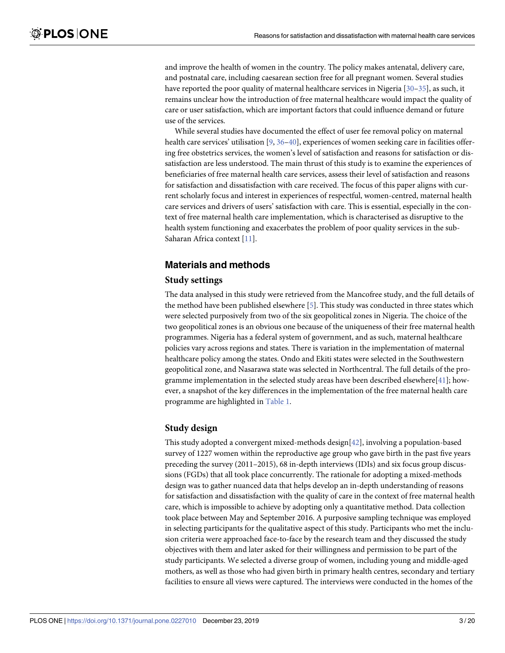<span id="page-2-0"></span>and improve the health of women in the country. The policy makes antenatal, delivery care, and postnatal care, including caesarean section free for all pregnant women. Several studies have reported the poor quality of maternal healthcare services in Nigeria [[30](#page-18-0)[–35\]](#page-19-0), as such, it remains unclear how the introduction of free maternal healthcare would impact the quality of care or user satisfaction, which are important factors that could influence demand or future use of the services.

While several studies have documented the effect of user fee removal policy on maternal health care services' utilisation [\[9,](#page-18-0) [36–40\]](#page-19-0), experiences of women seeking care in facilities offering free obstetrics services, the women's level of satisfaction and reasons for satisfaction or dissatisfaction are less understood. The main thrust of this study is to examine the experiences of beneficiaries of free maternal health care services, assess their level of satisfaction and reasons for satisfaction and dissatisfaction with care received. The focus of this paper aligns with current scholarly focus and interest in experiences of respectful, women-centred, maternal health care services and drivers of users' satisfaction with care. This is essential, especially in the context of free maternal health care implementation, which is characterised as disruptive to the health system functioning and exacerbates the problem of poor quality services in the sub-Saharan Africa context [[11](#page-18-0)].

## **Materials and methods**

#### **Study settings**

The data analysed in this study were retrieved from the Mancofree study, and the full details of the method have been published elsewhere [\[5](#page-17-0)]. This study was conducted in three states which were selected purposively from two of the six geopolitical zones in Nigeria. The choice of the two geopolitical zones is an obvious one because of the uniqueness of their free maternal health programmes. Nigeria has a federal system of government, and as such, maternal healthcare policies vary across regions and states. There is variation in the implementation of maternal healthcare policy among the states. Ondo and Ekiti states were selected in the Southwestern geopolitical zone, and Nasarawa state was selected in Northcentral. The full details of the programme implementation in the selected study areas have been described elsewhere $[41]$ ; however, a snapshot of the key differences in the implementation of the free maternal health care programme are highlighted in [Table](#page-3-0) 1.

#### **Study design**

This study adopted a convergent mixed-methods design[\[42\]](#page-19-0), involving a population-based survey of 1227 women within the reproductive age group who gave birth in the past five years preceding the survey (2011–2015), 68 in-depth interviews (IDIs) and six focus group discussions (FGDs) that all took place concurrently. The rationale for adopting a mixed-methods design was to gather nuanced data that helps develop an in-depth understanding of reasons for satisfaction and dissatisfaction with the quality of care in the context of free maternal health care, which is impossible to achieve by adopting only a quantitative method. Data collection took place between May and September 2016. A purposive sampling technique was employed in selecting participants for the qualitative aspect of this study. Participants who met the inclusion criteria were approached face-to-face by the research team and they discussed the study objectives with them and later asked for their willingness and permission to be part of the study participants. We selected a diverse group of women, including young and middle-aged mothers, as well as those who had given birth in primary health centres, secondary and tertiary facilities to ensure all views were captured. The interviews were conducted in the homes of the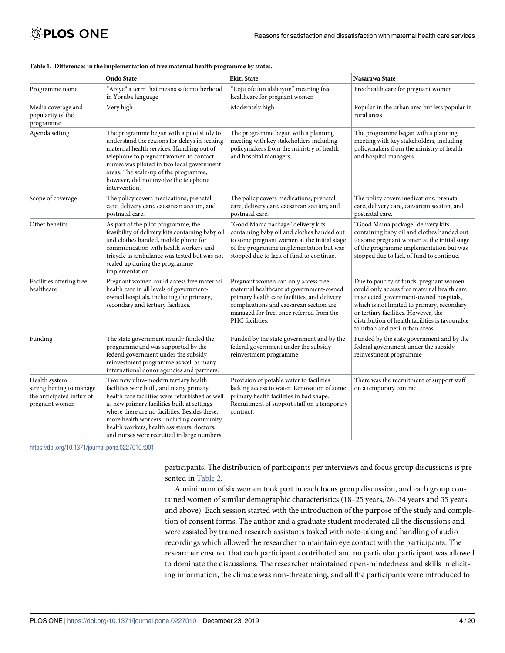|                                                                                         | <b>Ondo State</b>                                                                                                                                                                                                                                                                                                                                                           | <b>Ekiti State</b>                                                                                                                                                                                                                       | Nasarawa State                                                                                                                                                                                                                                                                                               |
|-----------------------------------------------------------------------------------------|-----------------------------------------------------------------------------------------------------------------------------------------------------------------------------------------------------------------------------------------------------------------------------------------------------------------------------------------------------------------------------|------------------------------------------------------------------------------------------------------------------------------------------------------------------------------------------------------------------------------------------|--------------------------------------------------------------------------------------------------------------------------------------------------------------------------------------------------------------------------------------------------------------------------------------------------------------|
| Programme name                                                                          | "Abiye" a term that means safe motherhood<br>in Yoruba language                                                                                                                                                                                                                                                                                                             | "Itoju ofe fun alaboyun" meaning free<br>healthcare for pregnant women                                                                                                                                                                   | Free health care for pregnant women                                                                                                                                                                                                                                                                          |
| Media coverage and<br>popularity of the<br>programme                                    | Very high                                                                                                                                                                                                                                                                                                                                                                   | Moderately high                                                                                                                                                                                                                          | Popular in the urban area but less popular in<br>rural areas                                                                                                                                                                                                                                                 |
| Agenda setting                                                                          | The programme began with a pilot study to<br>understand the reasons for delays in seeking<br>maternal health services. Handling out of<br>telephone to pregnant women to contact<br>nurses was piloted in two local government<br>areas. The scale-up of the programme,<br>however, did not involve the telephone<br>intervention.                                          | The programme began with a planning<br>meeting with key stakeholders including<br>policymakers from the ministry of health<br>and hospital managers.                                                                                     | The programme began with a planning<br>meeting with key stakeholders, including<br>policymakers from the ministry of health<br>and hospital managers.                                                                                                                                                        |
| Scope of coverage                                                                       | The policy covers medications, prenatal<br>care, delivery care, caesarean section, and<br>postnatal care.                                                                                                                                                                                                                                                                   | The policy covers medications, prenatal<br>care, delivery care, caesarean section, and<br>postnatal care.                                                                                                                                | The policy covers medications, prenatal<br>care, delivery care, caesarean section, and<br>postnatal care.                                                                                                                                                                                                    |
| Other benefits                                                                          | As part of the pilot programme, the<br>feasibility of delivery kits containing baby oil<br>and clothes handed, mobile phone for<br>communication with health workers and<br>tricycle as ambulance was tested but was not<br>scaled up during the programme<br>implementation.                                                                                               | "Good Mama package" delivery kits<br>containing baby oil and clothes handed out<br>to some pregnant women at the initial stage<br>of the programme implementation but was<br>stopped due to lack of fund to continue.                    | "Good Mama package" delivery kits<br>containing baby oil and clothes handed out<br>to some pregnant women at the initial stage<br>of the programme implementation but was<br>stopped due to lack of fund to continue.                                                                                        |
| Facilities offering free<br>healthcare                                                  | Pregnant women could access free maternal<br>health care in all levels of government-<br>owned hospitals, including the primary,<br>secondary and tertiary facilities.                                                                                                                                                                                                      | Pregnant women can only access free<br>maternal healthcare at government-owned<br>primary health care facilities, and delivery<br>complications and caesarean section are<br>managed for free, once referred from the<br>PHC facilities. | Due to paucity of funds, pregnant women<br>could only access free maternal health care<br>in selected government-owned hospitals,<br>which is not limited to primary, secondary<br>or tertiary facilities. However, the<br>distribution of health facilities is favourable<br>to urban and peri-urban areas. |
| Funding                                                                                 | The state government mainly funded the<br>programme and was supported by the<br>federal government under the subsidy<br>reinvestment programme as well as many<br>international donor agencies and partners.                                                                                                                                                                | Funded by the state government and by the<br>federal government under the subsidy<br>reinvestment programme                                                                                                                              | Funded by the state government and by the<br>federal government under the subsidy<br>reinvestment programme                                                                                                                                                                                                  |
| Health system<br>strengthening to manage<br>the anticipated influx of<br>pregnant women | Two new ultra-modern tertiary health<br>facilities were built, and many primary<br>health care facilities were refurbished as well<br>as new primary facilities built at settings<br>where there are no facilities. Besides these,<br>more health workers, including community<br>health workers, health assistants, doctors,<br>and nurses were recruited in large numbers | Provision of potable water to facilities<br>lacking access to water. Renovation of some<br>primary health facilities in bad shape.<br>Recruitment of support staff on a temporary<br>contract.                                           | There was the recruitment of support staff<br>on a temporary contract.                                                                                                                                                                                                                                       |

#### <span id="page-3-0"></span>**[Table](#page-2-0) 1. Differences in the implementation of free maternal health programme by states.**

<https://doi.org/10.1371/journal.pone.0227010.t001>

participants. The distribution of participants per interviews and focus group discussions is presented in [Table](#page-4-0) 2.

A minimum of six women took part in each focus group discussion, and each group contained women of similar demographic characteristics (18–25 years, 26–34 years and 35 years and above). Each session started with the introduction of the purpose of the study and completion of consent forms. The author and a graduate student moderated all the discussions and were assisted by trained research assistants tasked with note-taking and handling of audio recordings which allowed the researcher to maintain eye contact with the participants. The researcher ensured that each participant contributed and no particular participant was allowed to dominate the discussions. The researcher maintained open-mindedness and skills in eliciting information, the climate was non-threatening, and all the participants were introduced to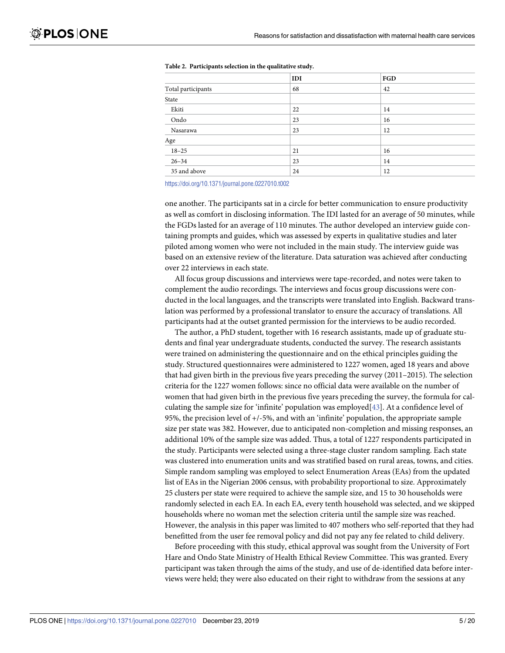|                    | IDI | FGD |
|--------------------|-----|-----|
| Total participants | 68  | 42  |
| State              |     |     |
| Ekiti              | 22  | 14  |
| Ondo               | 23  | 16  |
| Nasarawa           | 23  | 12  |
| Age                |     |     |
| $18 - 25$          | 21  | 16  |
| $26 - 34$          | 23  | 14  |
| 35 and above       | 24  | 12  |

<span id="page-4-0"></span>**[Table](#page-3-0) 2. Participants selection in the qualitative study.**

<https://doi.org/10.1371/journal.pone.0227010.t002>

one another. The participants sat in a circle for better communication to ensure productivity as well as comfort in disclosing information. The IDI lasted for an average of 50 minutes, while the FGDs lasted for an average of 110 minutes. The author developed an interview guide containing prompts and guides, which was assessed by experts in qualitative studies and later piloted among women who were not included in the main study. The interview guide was based on an extensive review of the literature. Data saturation was achieved after conducting over 22 interviews in each state.

All focus group discussions and interviews were tape-recorded, and notes were taken to complement the audio recordings. The interviews and focus group discussions were conducted in the local languages, and the transcripts were translated into English. Backward translation was performed by a professional translator to ensure the accuracy of translations. All participants had at the outset granted permission for the interviews to be audio recorded.

The author, a PhD student, together with 16 research assistants, made up of graduate students and final year undergraduate students, conducted the survey. The research assistants were trained on administering the questionnaire and on the ethical principles guiding the study. Structured questionnaires were administered to 1227 women, aged 18 years and above that had given birth in the previous five years preceding the survey (2011–2015). The selection criteria for the 1227 women follows: since no official data were available on the number of women that had given birth in the previous five years preceding the survey, the formula for calculating the sample size for 'infinite' population was employed $[43]$ . At a confidence level of 95%, the precision level of +/-5%, and with an 'infinite' population, the appropriate sample size per state was 382. However, due to anticipated non-completion and missing responses, an additional 10% of the sample size was added. Thus, a total of 1227 respondents participated in the study. Participants were selected using a three-stage cluster random sampling. Each state was clustered into enumeration units and was stratified based on rural areas, towns, and cities. Simple random sampling was employed to select Enumeration Areas (EAs) from the updated list of EAs in the Nigerian 2006 census, with probability proportional to size. Approximately 25 clusters per state were required to achieve the sample size, and 15 to 30 households were randomly selected in each EA. In each EA, every tenth household was selected, and we skipped households where no woman met the selection criteria until the sample size was reached. However, the analysis in this paper was limited to 407 mothers who self-reported that they had benefitted from the user fee removal policy and did not pay any fee related to child delivery.

Before proceeding with this study, ethical approval was sought from the University of Fort Hare and Ondo State Ministry of Health Ethical Review Committee. This was granted. Every participant was taken through the aims of the study, and use of de-identified data before interviews were held; they were also educated on their right to withdraw from the sessions at any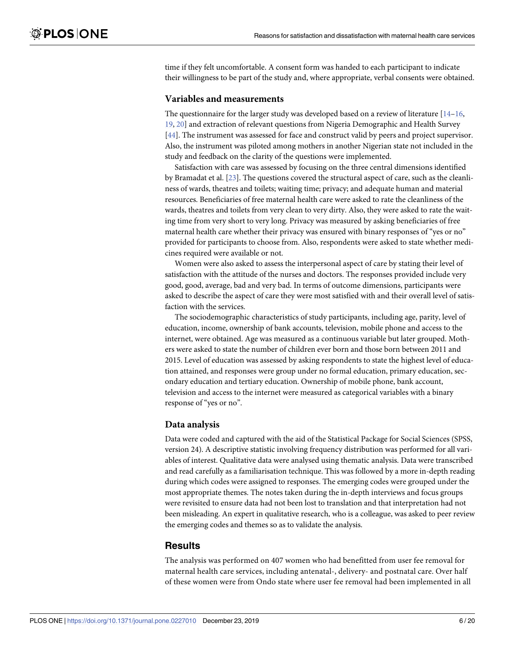<span id="page-5-0"></span>time if they felt uncomfortable. A consent form was handed to each participant to indicate their willingness to be part of the study and, where appropriate, verbal consents were obtained.

#### **Variables and measurements**

The questionnaire for the larger study was developed based on a review of literature  $[14-16,$ [19,](#page-18-0) [20](#page-18-0)] and extraction of relevant questions from Nigeria Demographic and Health Survey [\[44\]](#page-19-0). The instrument was assessed for face and construct valid by peers and project supervisor. Also, the instrument was piloted among mothers in another Nigerian state not included in the study and feedback on the clarity of the questions were implemented.

Satisfaction with care was assessed by focusing on the three central dimensions identified by Bramadat et al. [\[23\]](#page-18-0). The questions covered the structural aspect of care, such as the cleanliness of wards, theatres and toilets; waiting time; privacy; and adequate human and material resources. Beneficiaries of free maternal health care were asked to rate the cleanliness of the wards, theatres and toilets from very clean to very dirty. Also, they were asked to rate the waiting time from very short to very long. Privacy was measured by asking beneficiaries of free maternal health care whether their privacy was ensured with binary responses of "yes or no" provided for participants to choose from. Also, respondents were asked to state whether medicines required were available or not.

Women were also asked to assess the interpersonal aspect of care by stating their level of satisfaction with the attitude of the nurses and doctors. The responses provided include very good, good, average, bad and very bad. In terms of outcome dimensions, participants were asked to describe the aspect of care they were most satisfied with and their overall level of satisfaction with the services.

The sociodemographic characteristics of study participants, including age, parity, level of education, income, ownership of bank accounts, television, mobile phone and access to the internet, were obtained. Age was measured as a continuous variable but later grouped. Mothers were asked to state the number of children ever born and those born between 2011 and 2015. Level of education was assessed by asking respondents to state the highest level of education attained, and responses were group under no formal education, primary education, secondary education and tertiary education. Ownership of mobile phone, bank account, television and access to the internet were measured as categorical variables with a binary response of "yes or no".

#### **Data analysis**

Data were coded and captured with the aid of the Statistical Package for Social Sciences (SPSS, version 24). A descriptive statistic involving frequency distribution was performed for all variables of interest. Qualitative data were analysed using thematic analysis. Data were transcribed and read carefully as a familiarisation technique. This was followed by a more in-depth reading during which codes were assigned to responses. The emerging codes were grouped under the most appropriate themes. The notes taken during the in-depth interviews and focus groups were revisited to ensure data had not been lost to translation and that interpretation had not been misleading. An expert in qualitative research, who is a colleague, was asked to peer review the emerging codes and themes so as to validate the analysis.

#### **Results**

The analysis was performed on 407 women who had benefitted from user fee removal for maternal health care services, including antenatal-, delivery- and postnatal care. Over half of these women were from Ondo state where user fee removal had been implemented in all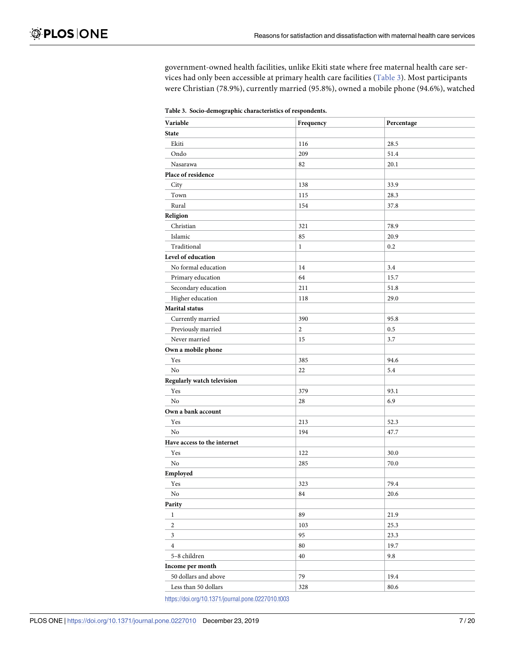government-owned health facilities, unlike Ekiti state where free maternal health care services had only been accessible at primary health care facilities (Table 3). Most participants were Christian (78.9%), currently married (95.8%), owned a mobile phone (94.6%), watched

**Table 3. Socio-demographic characteristics of respondents.**

| ∽                           |              |            |
|-----------------------------|--------------|------------|
| Variable                    | Frequency    | Percentage |
| <b>State</b>                |              |            |
| Ekiti                       | 116          | 28.5       |
| Ondo                        | 209          | 51.4       |
| Nasarawa                    | 82           | 20.1       |
| Place of residence          |              |            |
| City                        | 138          | 33.9       |
| Town                        | 115          | 28.3       |
| Rural                       | 154          | 37.8       |
| Religion                    |              |            |
| Christian                   | 321          | 78.9       |
| Islamic                     | 85           | 20.9       |
| Traditional                 | $\mathbf{1}$ | 0.2        |
| Level of education          |              |            |
| No formal education         | 14           | 3.4        |
| Primary education           | 64           | 15.7       |
| Secondary education         | 211          | 51.8       |
| Higher education            | 118          | 29.0       |
| Marital status              |              |            |
| Currently married           | 390          | 95.8       |
| Previously married          | $\sqrt{2}$   | 0.5        |
| Never married               | 15           | 3.7        |
| Own a mobile phone          |              |            |
| Yes                         | 385          | 94.6       |
| No                          | 22           | 5.4        |
| Regularly watch television  |              |            |
| Yes                         | 379          | 93.1       |
| No                          | 28           | 6.9        |
| Own a bank account          |              |            |
| Yes                         | 213          | 52.3       |
| No                          | 194          | 47.7       |
| Have access to the internet |              |            |
| Yes                         | 122          | 30.0       |
| $\rm No$                    | 285          | 70.0       |
| Employed                    |              |            |
| Yes                         | 323          | 79.4       |
| No                          | 84           | 20.6       |
| Parity                      |              |            |
| $\,1$                       | 89           | 21.9       |
| $\sqrt{2}$                  | 103          | 25.3       |
| 3                           | 95           | 23.3       |
| $\overline{4}$              | 80           | 19.7       |
| 5-8 children                | 40           | 9.8        |
| Income per month            |              |            |
| 50 dollars and above        | 79           | 19.4       |
| Less than 50 dollars        | 328          | $80.6\,$   |

<https://doi.org/10.1371/journal.pone.0227010.t003>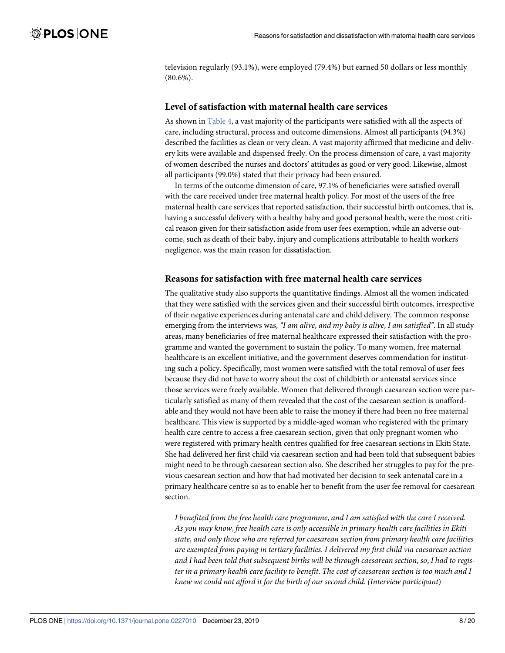<span id="page-7-0"></span>television regularly (93.1%), were employed (79.4%) but earned 50 dollars or less monthly (80.6%).

#### **Level of satisfaction with maternal health care services**

As shown in [Table](#page-8-0) 4, a vast majority of the participants were satisfied with all the aspects of care, including structural, process and outcome dimensions. Almost all participants (94.3%) described the facilities as clean or very clean. A vast majority affirmed that medicine and delivery kits were available and dispensed freely. On the process dimension of care, a vast majority of women described the nurses and doctors' attitudes as good or very good. Likewise, almost all participants (99.0%) stated that their privacy had been ensured.

In terms of the outcome dimension of care, 97.1% of beneficiaries were satisfied overall with the care received under free maternal health policy. For most of the users of the free maternal health care services that reported satisfaction, their successful birth outcomes, that is, having a successful delivery with a healthy baby and good personal health, were the most critical reason given for their satisfaction aside from user fees exemption, while an adverse outcome, such as death of their baby, injury and complications attributable to health workers negligence, was the main reason for dissatisfaction.

#### **Reasons for satisfaction with free maternal health care services**

The qualitative study also supports the quantitative findings. Almost all the women indicated that they were satisfied with the services given and their successful birth outcomes, irrespective of their negative experiences during antenatal care and child delivery. The common response emerging from the interviews was, *"I am alive*, *and my baby is alive*, *I am satisfied"*. In all study areas, many beneficiaries of free maternal healthcare expressed their satisfaction with the programme and wanted the government to sustain the policy. To many women, free maternal healthcare is an excellent initiative, and the government deserves commendation for instituting such a policy. Specifically, most women were satisfied with the total removal of user fees because they did not have to worry about the cost of childbirth or antenatal services since those services were freely available. Women that delivered through caesarean section were particularly satisfied as many of them revealed that the cost of the caesarean section is unaffordable and they would not have been able to raise the money if there had been no free maternal healthcare. This view is supported by a middle-aged woman who registered with the primary health care centre to access a free caesarean section, given that only pregnant women who were registered with primary health centres qualified for free caesarean sections in Ekiti State. She had delivered her first child via caesarean section and had been told that subsequent babies might need to be through caesarean section also. She described her struggles to pay for the previous caesarean section and how that had motivated her decision to seek antenatal care in a primary healthcare centre so as to enable her to benefit from the user fee removal for caesarean section.

*I benefited from the free health care programme*, *and I am satisfied with the care I received*. *As you may know*, *free health care is only accessible in primary health care facilities in Ekiti state*, *and only those who are referred for caesarean section from primary health care facilities are exempted from paying in tertiary facilities*. *I delivered my first child via caesarean section and I had been told that subsequent births will be through caesarean section*, *so*, *I had to regis*ter in a primary health care facility to benefit. The cost of caesarean section is too much and I *knew we could not afford it for the birth of our second child*. *(Interview participant*)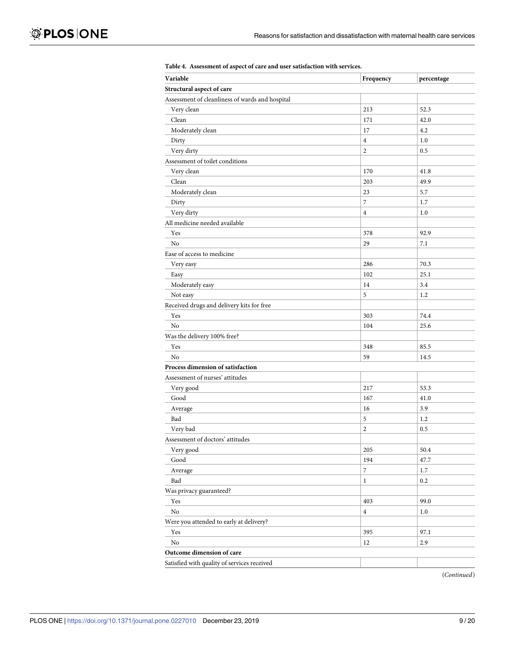<span id="page-8-0"></span>

| Variable                                        | Frequency        | percentage |
|-------------------------------------------------|------------------|------------|
| Structural aspect of care                       |                  |            |
| Assessment of cleanliness of wards and hospital |                  |            |
| Very clean                                      | 213              | 52.3       |
| Clean                                           | 171              | 42.0       |
| Moderately clean                                | 17               | 4.2        |
| Dirty                                           | $\overline{4}$   | 1.0        |
| Very dirty                                      | $\overline{2}$   | 0.5        |
| Assessment of toilet conditions                 |                  |            |
| Very clean                                      | 170              | 41.8       |
| Clean                                           | 203              | 49.9       |
| Moderately clean                                | 23               | 5.7        |
| Dirty                                           | $\boldsymbol{7}$ | 1.7        |
| Very dirty                                      | $\overline{4}$   | 1.0        |
| All medicine needed available                   |                  |            |
| Yes                                             | 378              | 92.9       |
| No                                              | 29               | 7.1        |
| Ease of access to medicine                      |                  |            |
| Very easy                                       | 286              | 70.3       |
| Easy                                            | 102              | 25.1       |
| Moderately easy                                 | 14               | 3.4        |
| Not easy                                        | 5                | 1.2        |
| Received drugs and delivery kits for free       |                  |            |
| Yes                                             | 303              | 74.4       |
| No                                              | 104              | 25.6       |
| Was the delivery 100% free?                     |                  |            |
| Yes                                             | 348              | 85.5       |
| No                                              | 59               | 14.5       |
| Process dimension of satisfaction               |                  |            |
| Assessment of nurses' attitudes                 |                  |            |
| Very good                                       | 217              | 53.3       |
| Good                                            | 167              | 41.0       |
| Average                                         | 16               | 3.9        |
| Bad                                             | 5                | 1.2        |
| Very bad                                        | $\overline{c}$   | 0.5        |
| Assessment of doctors' attitudes                |                  |            |
| Very good                                       | 205              | 50.4       |
| Good                                            | 194              | 47.7       |
| Average                                         | $\overline{7}$   | $1.7\,$    |
| Bad                                             | $\mathbf{1}$     | 0.2        |
| Was privacy guaranteed?                         |                  |            |
| Yes                                             | 403              | 99.0       |
| $\rm No$                                        | $\overline{4}$   | 1.0        |
| Were you attended to early at delivery?         |                  |            |
| Yes                                             | 395              | 97.1       |
| No                                              | 12               | 2.9        |
| Outcome dimension of care                       |                  |            |
| Satisfied with quality of services received     |                  |            |
|                                                 |                  |            |

#### **[Table](#page-7-0) 4. Assessment of aspect of care and user satisfaction with services.**

(*Continued*)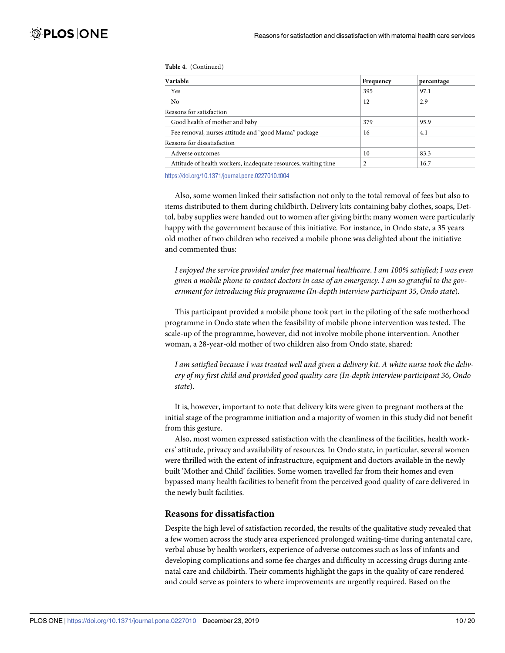**Table 4.** (Continued)

| Variable                                                       | Frequency      | percentage |
|----------------------------------------------------------------|----------------|------------|
| Yes                                                            | 395            | 97.1       |
| N <sub>0</sub>                                                 | 12             | 2.9        |
| Reasons for satisfaction                                       |                |            |
| Good health of mother and baby                                 | 379            | 95.9       |
| Fee removal, nurses attitude and "good Mama" package           | 16             | 4.1        |
| Reasons for dissatisfaction                                    |                |            |
| Adverse outcomes                                               | 10             | 83.3       |
| Attitude of health workers, inadequate resources, waiting time | $\overline{2}$ | 16.7       |

<https://doi.org/10.1371/journal.pone.0227010.t004>

Also, some women linked their satisfaction not only to the total removal of fees but also to items distributed to them during childbirth. Delivery kits containing baby clothes, soaps, Dettol, baby supplies were handed out to women after giving birth; many women were particularly happy with the government because of this initiative. For instance, in Ondo state, a 35 years old mother of two children who received a mobile phone was delighted about the initiative and commented thus:

*I enjoyed the service provided under free maternal healthcare*. *I am 100% satisfied; I was even* given a mobile phone to contact doctors in case of an emergency. I am so grateful to the gov*ernment for introducing this programme (In-depth interview participant 35*, *Ondo state*).

This participant provided a mobile phone took part in the piloting of the safe motherhood programme in Ondo state when the feasibility of mobile phone intervention was tested. The scale-up of the programme, however, did not involve mobile phone intervention. Another woman, a 28-year-old mother of two children also from Ondo state, shared:

I am satisfied because I was treated well and given a delivery kit. A white nurse took the deliv*ery of my first child and provided good quality care (In-depth interview participant 36*, *Ondo state*).

It is, however, important to note that delivery kits were given to pregnant mothers at the initial stage of the programme initiation and a majority of women in this study did not benefit from this gesture.

Also, most women expressed satisfaction with the cleanliness of the facilities, health workers' attitude, privacy and availability of resources. In Ondo state, in particular, several women were thrilled with the extent of infrastructure, equipment and doctors available in the newly built 'Mother and Child' facilities. Some women travelled far from their homes and even bypassed many health facilities to benefit from the perceived good quality of care delivered in the newly built facilities.

#### **Reasons for dissatisfaction**

Despite the high level of satisfaction recorded, the results of the qualitative study revealed that a few women across the study area experienced prolonged waiting-time during antenatal care, verbal abuse by health workers, experience of adverse outcomes such as loss of infants and developing complications and some fee charges and difficulty in accessing drugs during antenatal care and childbirth. Their comments highlight the gaps in the quality of care rendered and could serve as pointers to where improvements are urgently required. Based on the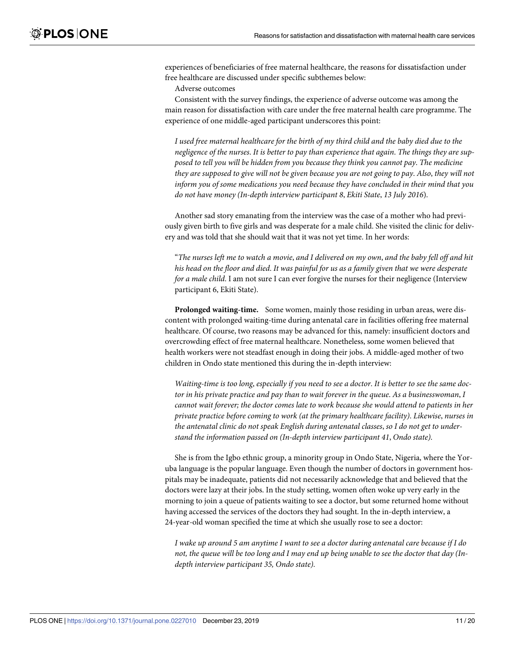experiences of beneficiaries of free maternal healthcare, the reasons for dissatisfaction under free healthcare are discussed under specific subthemes below:

Adverse outcomes

Consistent with the survey findings, the experience of adverse outcome was among the main reason for dissatisfaction with care under the free maternal health care programme. The experience of one middle-aged participant underscores this point:

I used free maternal healthcare for the birth of my third child and the baby died due to the negligence of the nurses. It is better to pay than experience that again. The things they are sup*posed to tell you will be hidden from you because they think you cannot pay*. *The medicine* they are supposed to give will not be given because you are not going to pay. Also, they will not *inform you of some medications you need because they have concluded in their mind that you do not have money (In-depth interview participant 8*, *Ekiti State*, *13 July 2016*).

Another sad story emanating from the interview was the case of a mother who had previously given birth to five girls and was desperate for a male child. She visited the clinic for delivery and was told that she should wait that it was not yet time. In her words:

"The nurses left me to watch a movie, and I delivered on my own, and the baby fell off and hit his head on the floor and died. It was painful for us as a family given that we were desperate *for a male child*. I am not sure I can ever forgive the nurses for their negligence (Interview participant 6, Ekiti State).

**Prolonged waiting-time.** Some women, mainly those residing in urban areas, were discontent with prolonged waiting-time during antenatal care in facilities offering free maternal healthcare. Of course, two reasons may be advanced for this, namely: insufficient doctors and overcrowding effect of free maternal healthcare. Nonetheless, some women believed that health workers were not steadfast enough in doing their jobs. A middle-aged mother of two children in Ondo state mentioned this during the in-depth interview:

Waiting-time is too long, especially if you need to see a doctor. It is better to see the same doc*tor in his private practice and pay than to wait forever in the queue*. *As a businesswoman*, *I cannot wait forever; the doctor comes late to work because she would attend to patients in her private practice before coming to work (at the primary healthcare facility)*. *Likewise*, *nurses in the antenatal clinic do not speak English during antenatal classes*, *so I do not get to understand the information passed on (In-depth interview participant 41*, *Ondo state)*.

She is from the Igbo ethnic group, a minority group in Ondo State, Nigeria, where the Yoruba language is the popular language. Even though the number of doctors in government hospitals may be inadequate, patients did not necessarily acknowledge that and believed that the doctors were lazy at their jobs. In the study setting, women often woke up very early in the morning to join a queue of patients waiting to see a doctor, but some returned home without having accessed the services of the doctors they had sought. In the in-depth interview, a 24-year-old woman specified the time at which she usually rose to see a doctor:

I wake up around 5 am anytime I want to see a doctor during antenatal care because if I do not, the queue will be too long and I may end up being unable to see the doctor that day (In*depth interview participant 35, Ondo state)*.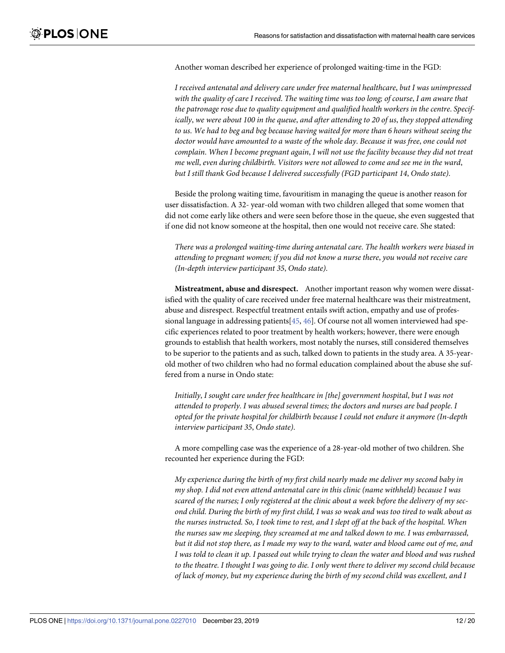<span id="page-11-0"></span>Another woman described her experience of prolonged waiting-time in the FGD:

*I received antenatal and delivery care under free maternal healthcare*, *but I was unimpressed* with the quality of care I received. The waiting time was too long; of course, I am aware that *the patronage rose due to quality equipment and qualified health workers in the centre*. *Specifically*, *we were about 100 in the queue*, *and after attending to 20 of us*, *they stopped attending to us*. *We had to beg and beg because having waited for more than 6 hours without seeing the doctor would have amounted to a waste of the whole day*. *Because it was free*, *one could not complain*. *When I become pregnant again*, *I will not use the facility because they did not treat me well*, *even during childbirth*. *Visitors were not allowed to come and see me in the ward*, *but I still thank God because I delivered successfully (FGD participant 14*, *Ondo state)*.

Beside the prolong waiting time, favouritism in managing the queue is another reason for user dissatisfaction. A 32- year-old woman with two children alleged that some women that did not come early like others and were seen before those in the queue, she even suggested that if one did not know someone at the hospital, then one would not receive care. She stated:

*There was a prolonged waiting-time during antenatal care*. *The health workers were biased in attending to pregnant women; if you did not know a nurse there*, *you would not receive care (In-depth interview participant 35*, *Ondo state)*.

**Mistreatment, abuse and disrespect.** Another important reason why women were dissatisfied with the quality of care received under free maternal healthcare was their mistreatment, abuse and disrespect. Respectful treatment entails swift action, empathy and use of professional language in addressing patients $[45, 46]$  $[45, 46]$  $[45, 46]$  $[45, 46]$  $[45, 46]$ . Of course not all women interviewed had specific experiences related to poor treatment by health workers; however, there were enough grounds to establish that health workers, most notably the nurses, still considered themselves to be superior to the patients and as such, talked down to patients in the study area. A 35-yearold mother of two children who had no formal education complained about the abuse she suffered from a nurse in Ondo state:

*Initially*, *I sought care under free healthcare in [the] government hospital*, *but I was not attended to properly*. *I was abused several times; the doctors and nurses are bad people*. *I opted for the private hospital for childbirth because I could not endure it anymore (In-depth interview participant 35*, *Ondo state)*.

A more compelling case was the experience of a 28-year-old mother of two children. She recounted her experience during the FGD:

*My experience during the birth of my first child nearly made me deliver my second baby in my shop. I did not even attend antenatal care in this clinic (name withheld) because I was* scared of the nurses; I only registered at the clinic about a week before the delivery of my second child. During the birth of my first child, I was so weak and was too tired to walk about as the nurses instructed. So, I took time to rest, and I slept off at the back of the hospital. When *the nurses saw me sleeping, they screamed at me and talked down to me. I was embarrassed,* but it did not stop there, as I made my way to the ward, water and blood came out of me, and I was told to clean it up. I passed out while trying to clean the water and blood and was rushed to the theatre. I thought I was going to die. I only went there to deliver my second child because *of lack of money, but my experience during the birth of my second child was excellent, and I*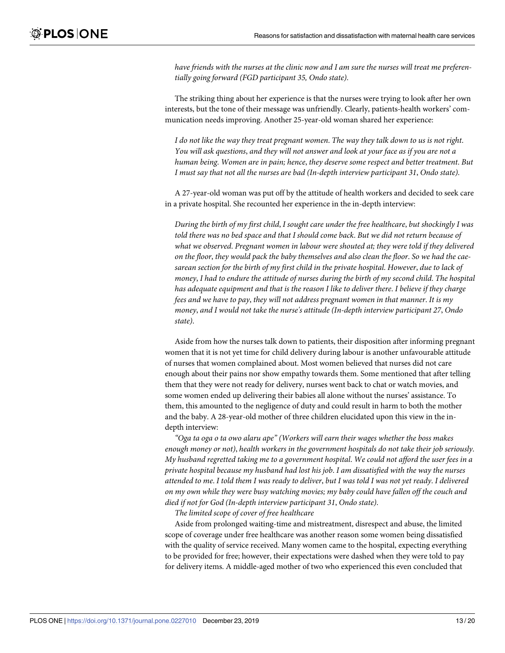have friends with the nurses at the clinic now and I am sure the nurses will treat me preferen*tially going forward (FGD participant 35, Ondo state)*.

The striking thing about her experience is that the nurses were trying to look after her own interests, but the tone of their message was unfriendly. Clearly, patients-health workers' communication needs improving. Another 25-year-old woman shared her experience:

I do not like the way they treat pregnant women. The way they talk down to us is not right. You will ask questions, and they will not answer and look at your face as if you are not a *human being*. *Women are in pain; hence*, *they deserve some respect and better treatment*. *But I must say that not all the nurses are bad (In-depth interview participant 31*, *Ondo state)*.

A 27-year-old woman was put off by the attitude of health workers and decided to seek care in a private hospital. She recounted her experience in the in-depth interview:

*During the birth of my first child*, *I sought care under the free healthcare*, *but shockingly I was told there was no bed space and that I should come back*. *But we did not return because of what we observed*. *Pregnant women in labour were shouted at; they were told if they delivered* on the floor, they would pack the baby themselves and also clean the floor. So we had the cae*sarean section for the birth of my first child in the private hospital*. *However*, *due to lack of money*, *I had to endure the attitude of nurses during the birth of my second child*. *The hospital has adequate equipment and that is the reason I like to deliver there*. *I believe if they charge fees and we have to pay*, *they will not address pregnant women in that manner*. *It is my money*, *and I would not take the nurse's attitude (In-depth interview participant 27*, *Ondo state)*.

Aside from how the nurses talk down to patients, their disposition after informing pregnant women that it is not yet time for child delivery during labour is another unfavourable attitude of nurses that women complained about. Most women believed that nurses did not care enough about their pains nor show empathy towards them. Some mentioned that after telling them that they were not ready for delivery, nurses went back to chat or watch movies, and some women ended up delivering their babies all alone without the nurses' assistance. To them, this amounted to the negligence of duty and could result in harm to both the mother and the baby. A 28-year-old mother of three children elucidated upon this view in the indepth interview:

*"Oga ta oga o ta owo alaru ape" (Workers will earn their wages whether the boss makes enough money or not)*, *health workers in the government hospitals do not take their job seriously*. *My husband regretted taking me to a government hospital*. *We could not afford the user fees in a private hospital because my husband had lost his job*. *I am dissatisfied with the way the nurses* attended to me. I told them I was ready to deliver, but I was told I was not yet ready. I delivered *on my own while they were busy watching movies; my baby could have fallen off the couch and died if not for God (In-depth interview participant 31*, *Ondo state)*.

*The limited scope of cover of free healthcare*

Aside from prolonged waiting-time and mistreatment, disrespect and abuse, the limited scope of coverage under free healthcare was another reason some women being dissatisfied with the quality of service received. Many women came to the hospital, expecting everything to be provided for free; however, their expectations were dashed when they were told to pay for delivery items. A middle-aged mother of two who experienced this even concluded that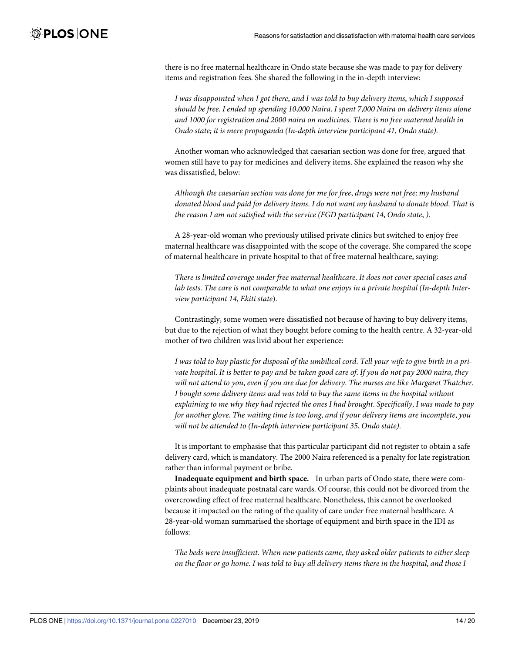there is no free maternal healthcare in Ondo state because she was made to pay for delivery items and registration fees. She shared the following in the in-depth interview:

*I was disappointed when I got there*, *and I was told to buy delivery items*, *which I supposed* should be free. I ended up spending 10,000 Naira. I spent 7,000 Naira on delivery items alone *and 1000 for registration and 2000 naira on medicines*. *There is no free maternal health in Ondo state; it is mere propaganda (In-depth interview participant 41*, *Ondo state)*.

Another woman who acknowledged that caesarian section was done for free, argued that women still have to pay for medicines and delivery items. She explained the reason why she was dissatisfied, below:

*Although the caesarian section was done for me for free*, *drugs were not free; my husband donated blood and paid for delivery items*. *I do not want my husband to donate blood*. *That is the reason I am not satisfied with the service (FGD participant 14*, *Ondo state*, *)*.

A 28-year-old woman who previously utilised private clinics but switched to enjoy free maternal healthcare was disappointed with the scope of the coverage. She compared the scope of maternal healthcare in private hospital to that of free maternal healthcare, saying:

*There is limited coverage under free maternal healthcare*. *It does not cover special cases and lab tests*. *The care is not comparable to what one enjoys in a private hospital (In-depth Interview participant 14*, *Ekiti state*).

Contrastingly, some women were dissatisfied not because of having to buy delivery items, but due to the rejection of what they bought before coming to the health centre. A 32-year-old mother of two children was livid about her experience:

I was told to buy plastic for disposal of the umbilical cord. Tell your wife to give birth in a private hospital. It is better to pay and be taken good care of. If you do not pay 2000 naira, they *will not attend to you*, *even if you are due for delivery*. *The nurses are like Margaret Thatcher*. *I bought some delivery items and was told to buy the same items in the hospital without explaining to me why they had rejected the ones I had brought*. *Specifically*, *I was made to pay for another glove*. *The waiting time is too long*, *and if your delivery items are incomplete*, *you will not be attended to (In-depth interview participant 35*, *Ondo state)*.

It is important to emphasise that this particular participant did not register to obtain a safe delivery card, which is mandatory. The 2000 Naira referenced is a penalty for late registration rather than informal payment or bribe.

**Inadequate equipment and birth space.** In urban parts of Ondo state, there were complaints about inadequate postnatal care wards. Of course, this could not be divorced from the overcrowding effect of free maternal healthcare. Nonetheless, this cannot be overlooked because it impacted on the rating of the quality of care under free maternal healthcare. A 28-year-old woman summarised the shortage of equipment and birth space in the IDI as follows:

*The beds were insufficient*. *When new patients came*, *they asked older patients to either sleep* on the floor or go home. I was told to buy all delivery items there in the hospital, and those I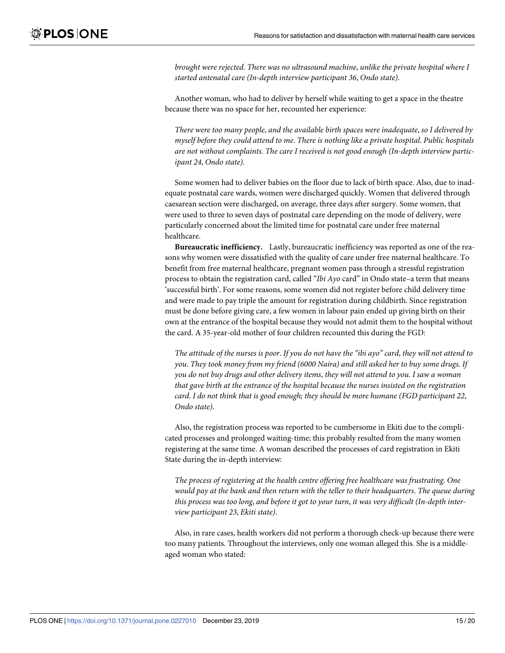*brought were rejected*. *There was no ultrasound machine*, *unlike the private hospital where I started antenatal care (In-depth interview participant 36*, *Ondo state)*.

Another woman, who had to deliver by herself while waiting to get a space in the theatre because there was no space for her, recounted her experience:

*There were too many people*, *and the available birth spaces were inadequate*, *so I delivered by myself before they could attend to me*. *There is nothing like a private hospital*. *Public hospitals are not without complaints*. *The care I received is not good enough (In-depth interview participant 24*, *Ondo state)*.

Some women had to deliver babies on the floor due to lack of birth space. Also, due to inadequate postnatal care wards, women were discharged quickly. Women that delivered through caesarean section were discharged, on average, three days after surgery. Some women, that were used to three to seven days of postnatal care depending on the mode of delivery, were particularly concerned about the limited time for postnatal care under free maternal healthcare.

**Bureaucratic inefficiency.** Lastly, bureaucratic inefficiency was reported as one of the reasons why women were dissatisfied with the quality of care under free maternal healthcare. To benefit from free maternal healthcare, pregnant women pass through a stressful registration process to obtain the registration card, called "*Ibi Ayo* card" in Ondo state–a term that means 'successful birth'. For some reasons, some women did not register before child delivery time and were made to pay triple the amount for registration during childbirth. Since registration must be done before giving care, a few women in labour pain ended up giving birth on their own at the entrance of the hospital because they would not admit them to the hospital without the card. A 35-year-old mother of four children recounted this during the FGD:

The attitude of the nurses is poor. If you do not have the "ibi ayo" card, they will not attend to *you*. *They took money from my friend (6000 Naira) and still asked her to buy some drugs*. *If you do not buy drugs and other delivery items*, *they will not attend to you*. *I saw a woman that gave birth at the entrance of the hospital because the nurses insisted on the registration card*. *I do not think that is good enough; they should be more humane (FGD participant 22*, *Ondo state)*.

Also, the registration process was reported to be cumbersome in Ekiti due to the complicated processes and prolonged waiting-time; this probably resulted from the many women registering at the same time. A woman described the processes of card registration in Ekiti State during the in-depth interview:

*The process of registering at the health centre offering free healthcare was frustrating*. *One would pay at the bank and then return with the teller to their headquarters*. *The queue during this process was too long*, *and before it got to your turn*, *it was very difficult (In-depth interview participant 23*, *Ekiti state)*.

Also, in rare cases, health workers did not perform a thorough check-up because there were too many patients. Throughout the interviews, only one woman alleged this. She is a middleaged woman who stated: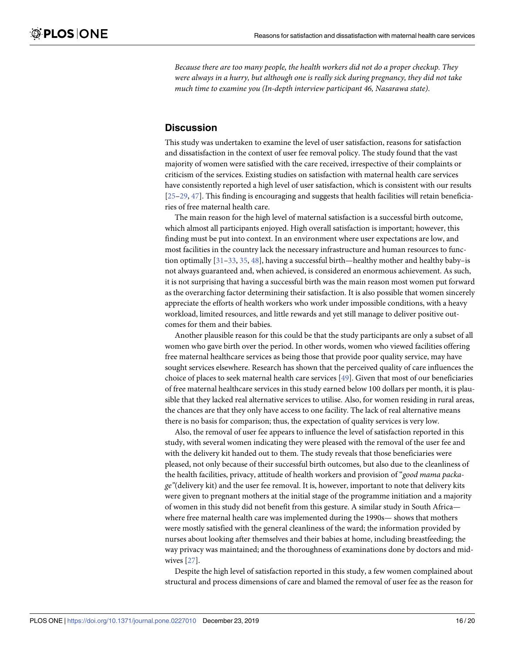<span id="page-15-0"></span>*Because there are too many people, the health workers did not do a proper checkup. They were always in a hurry, but although one is really sick during pregnancy, they did not take much time to examine you (In-depth interview participant 46, Nasarawa state)*.

## **Discussion**

This study was undertaken to examine the level of user satisfaction, reasons for satisfaction and dissatisfaction in the context of user fee removal policy. The study found that the vast majority of women were satisfied with the care received, irrespective of their complaints or criticism of the services. Existing studies on satisfaction with maternal health care services have consistently reported a high level of user satisfaction, which is consistent with our results [\[25–29,](#page-18-0) [47\]](#page-19-0). This finding is encouraging and suggests that health facilities will retain beneficiaries of free maternal health care.

The main reason for the high level of maternal satisfaction is a successful birth outcome, which almost all participants enjoyed. High overall satisfaction is important; however, this finding must be put into context. In an environment where user expectations are low, and most facilities in the country lack the necessary infrastructure and human resources to function optimally [[31](#page-18-0)–[33](#page-19-0), [35](#page-19-0), [48](#page-19-0)], having a successful birth—healthy mother and healthy baby–is not always guaranteed and, when achieved, is considered an enormous achievement. As such, it is not surprising that having a successful birth was the main reason most women put forward as the overarching factor determining their satisfaction. It is also possible that women sincerely appreciate the efforts of health workers who work under impossible conditions, with a heavy workload, limited resources, and little rewards and yet still manage to deliver positive outcomes for them and their babies.

Another plausible reason for this could be that the study participants are only a subset of all women who gave birth over the period. In other words, women who viewed facilities offering free maternal healthcare services as being those that provide poor quality service, may have sought services elsewhere. Research has shown that the perceived quality of care influences the choice of places to seek maternal health care services [[49](#page-19-0)]. Given that most of our beneficiaries of free maternal healthcare services in this study earned below 100 dollars per month, it is plausible that they lacked real alternative services to utilise. Also, for women residing in rural areas, the chances are that they only have access to one facility. The lack of real alternative means there is no basis for comparison; thus, the expectation of quality services is very low.

Also, the removal of user fee appears to influence the level of satisfaction reported in this study, with several women indicating they were pleased with the removal of the user fee and with the delivery kit handed out to them. The study reveals that those beneficiaries were pleased, not only because of their successful birth outcomes, but also due to the cleanliness of the health facilities, privacy, attitude of health workers and provision of "*good mama package"*(delivery kit) and the user fee removal. It is, however, important to note that delivery kits were given to pregnant mothers at the initial stage of the programme initiation and a majority of women in this study did not benefit from this gesture. A similar study in South Africa where free maternal health care was implemented during the 1990s— shows that mothers were mostly satisfied with the general cleanliness of the ward; the information provided by nurses about looking after themselves and their babies at home, including breastfeeding; the way privacy was maintained; and the thoroughness of examinations done by doctors and midwives [[27\]](#page-18-0).

Despite the high level of satisfaction reported in this study, a few women complained about structural and process dimensions of care and blamed the removal of user fee as the reason for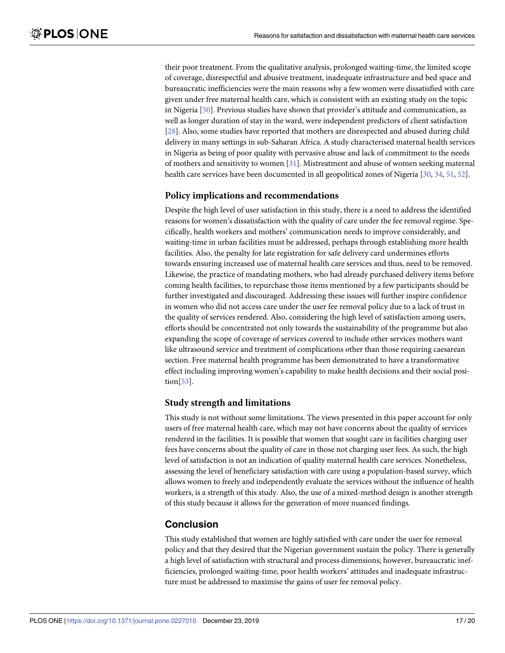<span id="page-16-0"></span>their poor treatment. From the qualitative analysis, prolonged waiting-time, the limited scope of coverage, disrespectful and abusive treatment, inadequate infrastructure and bed space and bureaucratic inefficiencies were the main reasons why a few women were dissatisfied with care given under free maternal health care, which is consistent with an existing study on the topic in Nigeria [[50](#page-19-0)]. Previous studies have shown that provider's attitude and communication, as well as longer duration of stay in the ward, were independent predictors of client satisfaction [\[28\]](#page-18-0). Also, some studies have reported that mothers are disrespected and abused during child delivery in many settings in sub-Saharan Africa. A study characterised maternal health services in Nigeria as being of poor quality with pervasive abuse and lack of commitment to the needs of mothers and sensitivity to women [\[31\]](#page-18-0). Mistreatment and abuse of women seeking maternal health care services have been documented in all geopolitical zones of Nigeria [\[30,](#page-18-0) [34](#page-19-0), [51](#page-19-0), [52](#page-19-0)].

#### **Policy implications and recommendations**

Despite the high level of user satisfaction in this study, there is a need to address the identified reasons for women's dissatisfaction with the quality of care under the fee removal regime. Specifically, health workers and mothers' communication needs to improve considerably, and waiting-time in urban facilities must be addressed, perhaps through establishing more health facilities. Also, the penalty for late registration for safe delivery card undermines efforts towards ensuring increased use of maternal health care services and thus, need to be removed. Likewise, the practice of mandating mothers, who had already purchased delivery items before coming health facilities, to repurchase those items mentioned by a few participants should be further investigated and discouraged. Addressing these issues will further inspire confidence in women who did not access care under the user fee removal policy due to a lack of trust in the quality of services rendered. Also, considering the high level of satisfaction among users, efforts should be concentrated not only towards the sustainability of the programme but also expanding the scope of coverage of services covered to include other services mothers want like ultrasound service and treatment of complications other than those requiring caesarean section. Free maternal health programme has been demonstrated to have a transformative effect including improving women's capability to make health decisions and their social position[[53](#page-19-0)].

#### **Study strength and limitations**

This study is not without some limitations. The views presented in this paper account for only users of free maternal health care, which may not have concerns about the quality of services rendered in the facilities. It is possible that women that sought care in facilities charging user fees have concerns about the quality of care in those not charging user fees. As such, the high level of satisfaction is not an indication of quality maternal health care services. Nonetheless, assessing the level of beneficiary satisfaction with care using a population-based survey, which allows women to freely and independently evaluate the services without the influence of health workers, is a strength of this study. Also, the use of a mixed-method design is another strength of this study because it allows for the generation of more nuanced findings.

## **Conclusion**

This study established that women are highly satisfied with care under the user fee removal policy and that they desired that the Nigerian government sustain the policy. There is generally a high level of satisfaction with structural and process dimensions; however, bureaucratic inefficiencies, prolonged waiting-time, poor health workers' attitudes and inadequate infrastructure must be addressed to maximise the gains of user fee removal policy.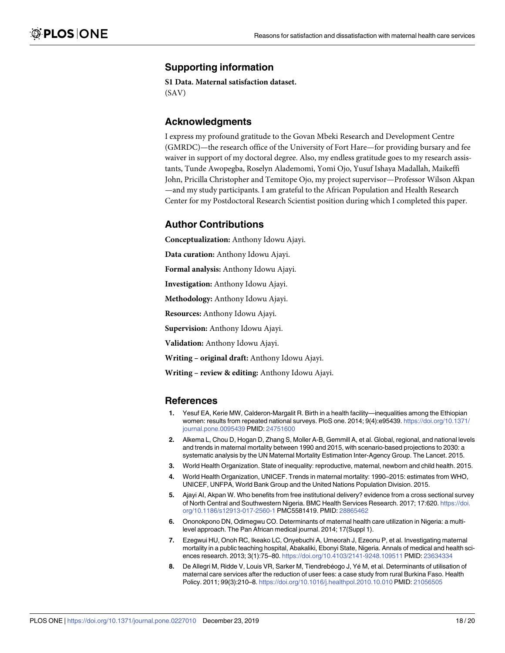## <span id="page-17-0"></span>**Supporting information**

**S1 [Data](http://www.plosone.org/article/fetchSingleRepresentation.action?uri=info:doi/10.1371/journal.pone.0227010.s001). Maternal satisfaction dataset.** (SAV)

#### **Acknowledgments**

I express my profound gratitude to the Govan Mbeki Research and Development Centre (GMRDC)—the research office of the University of Fort Hare—for providing bursary and fee waiver in support of my doctoral degree. Also, my endless gratitude goes to my research assistants, Tunde Awopegba, Roselyn Alademomi, Yomi Ojo, Yusuf Ishaya Madallah, Maikeffi John, Pricilla Christopher and Temitope Ojo, my project supervisor—Professor Wilson Akpan —and my study participants. I am grateful to the African Population and Health Research Center for my Postdoctoral Research Scientist position during which I completed this paper.

## **Author Contributions**

**Conceptualization:** Anthony Idowu Ajayi.

**Data curation:** Anthony Idowu Ajayi.

**Formal analysis:** Anthony Idowu Ajayi.

**Investigation:** Anthony Idowu Ajayi.

**Methodology:** Anthony Idowu Ajayi.

**Resources:** Anthony Idowu Ajayi.

**Supervision:** Anthony Idowu Ajayi.

**Validation:** Anthony Idowu Ajayi.

**Writing – original draft:** Anthony Idowu Ajayi.

**Writing – review & editing:** Anthony Idowu Ajayi.

#### **References**

- **[1](#page-1-0).** Yesuf EA, Kerie MW, Calderon-Margalit R. Birth in a health facility—inequalities among the Ethiopian women: results from repeated national surveys. PloS one. 2014; 9(4):e95439. [https://doi.org/10.1371/](https://doi.org/10.1371/journal.pone.0095439) [journal.pone.0095439](https://doi.org/10.1371/journal.pone.0095439) PMID: [24751600](http://www.ncbi.nlm.nih.gov/pubmed/24751600)
- **2.** Alkema L, Chou D, Hogan D, Zhang S, Moller A-B, Gemmill A, et al. Global, regional, and national levels and trends in maternal mortality between 1990 and 2015, with scenario-based projections to 2030: a systematic analysis by the UN Maternal Mortality Estimation Inter-Agency Group. The Lancet. 2015.
- **[3](#page-1-0).** World Health Organization. State of inequality: reproductive, maternal, newborn and child health. 2015.
- **[4](#page-1-0).** World Health Organization, UNICEF. Trends in maternal mortality: 1990–2015: estimates from WHO, UNICEF, UNFPA, World Bank Group and the United Nations Population Division. 2015.
- **[5](#page-1-0).** Ajayi AI, Akpan W. Who benefits from free institutional delivery? evidence from a cross sectional survey of North Central and Southwestern Nigeria. BMC Health Services Research. 2017; 17:620. [https://doi.](https://doi.org/10.1186/s12913-017-2560-1) [org/10.1186/s12913-017-2560-1](https://doi.org/10.1186/s12913-017-2560-1) PMC5581419. PMID: [28865462](http://www.ncbi.nlm.nih.gov/pubmed/28865462)
- **[6](#page-1-0).** Ononokpono DN, Odimegwu CO. Determinants of maternal health care utilization in Nigeria: a multilevel approach. The Pan African medical journal. 2014; 17(Suppl 1).
- **[7](#page-1-0).** Ezegwui HU, Onoh RC, Ikeako LC, Onyebuchi A, Umeorah J, Ezeonu P, et al. Investigating maternal mortality in a public teaching hospital, Abakaliki, Ebonyi State, Nigeria. Annals of medical and health sciences research. 2013; 3(1):75–80. <https://doi.org/10.4103/2141-9248.109511> PMID: [23634334](http://www.ncbi.nlm.nih.gov/pubmed/23634334)
- 8. De Allegri M, Ridde V, Louis VR, Sarker M, Tiendrebéogo J, Yé M, et al. Determinants of utilisation of maternal care services after the reduction of user fees: a case study from rural Burkina Faso. Health Policy. 2011; 99(3):210–8. <https://doi.org/10.1016/j.healthpol.2010.10.010> PMID: [21056505](http://www.ncbi.nlm.nih.gov/pubmed/21056505)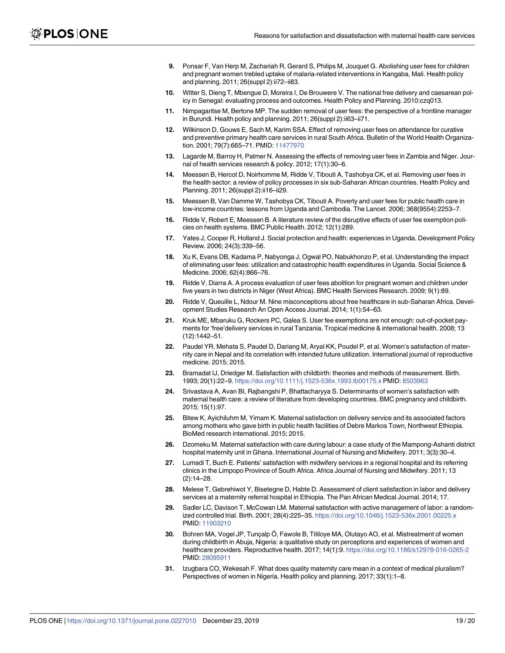- <span id="page-18-0"></span>**[9](#page-2-0).** Ponsar F, Van Herp M, Zachariah R, Gerard S, Philips M, Jouquet G. Abolishing user fees for children and pregnant women trebled uptake of malaria-related interventions in Kangaba, Mali. Health policy and planning. 2011; 26(suppl 2):ii72–ii83.
- **[10](#page-1-0).** Witter S, Dieng T, Mbengue D, Moreira I, De Brouwere V. The national free delivery and caesarean policy in Senegal: evaluating process and outcomes. Health Policy and Planning. 2010:czq013.
- **[11](#page-1-0).** Nimpagaritse M, Bertone MP. The sudden removal of user fees: the perspective of a frontline manager in Burundi. Health policy and planning. 2011; 26(suppl 2):ii63–ii71.
- **12.** Wilkinson D, Gouws E, Sach M, Karim SSA. Effect of removing user fees on attendance for curative and preventive primary health care services in rural South Africa. Bulletin of the World Health Organization. 2001; 79(7):665–71. PMID: [11477970](http://www.ncbi.nlm.nih.gov/pubmed/11477970)
- **[13](#page-1-0).** Lagarde M, Barroy H, Palmer N. Assessing the effects of removing user fees in Zambia and Niger. Journal of health services research & policy. 2012; 17(1):30–6.
- **[14](#page-1-0).** Meessen B, Hercot D, Noirhomme M, Ridde V, Tibouti A, Tashobya CK, et al. Removing user fees in the health sector: a review of policy processes in six sub-Saharan African countries. Health Policy and Planning. 2011; 26(suppl 2):ii16–ii29.
- **15.** Meessen B, Van Damme W, Tashobya CK, Tibouti A. Poverty and user fees for public health care in low-income countries: lessons from Uganda and Cambodia. The Lancet. 2006; 368(9554):2253–7.
- **[16](#page-1-0).** Ridde V, Robert E, Meessen B. A literature review of the disruptive effects of user fee exemption policies on health systems. BMC Public Health. 2012; 12(1):289.
- **17.** Yates J, Cooper R, Holland J. Social protection and health: experiences in Uganda. Development Policy Review. 2006; 24(3):339–56.
- **[18](#page-1-0).** Xu K, Evans DB, Kadama P, Nabyonga J, Ogwal PO, Nabukhonzo P, et al. Understanding the impact of eliminating user fees: utilization and catastrophic health expenditures in Uganda. Social Science & Medicine. 2006; 62(4):866–76.
- **[19](#page-1-0).** Ridde V, Diarra A. A process evaluation of user fees abolition for pregnant women and children under five years in two districts in Niger (West Africa). BMC Health Services Research. 2009; 9(1):89.
- **[20](#page-1-0).** Ridde V, Queuille L, Ndour M. Nine misconceptions about free healthcare in sub-Saharan Africa. Development Studies Research An Open Access Journal. 2014; 1(1):54–63.
- **[21](#page-1-0).** Kruk ME, Mbaruku G, Rockers PC, Galea S. User fee exemptions are not enough: out-of-pocket payments for 'free'delivery services in rural Tanzania. Tropical medicine & international health. 2008; 13 (12):1442–51.
- **[22](#page-1-0).** Paudel YR, Mehata S, Paudel D, Dariang M, Aryal KK, Poudel P, et al. Women's satisfaction of maternity care in Nepal and its correlation with intended future utilization. International journal of reproductive medicine. 2015; 2015.
- **[23](#page-1-0).** Bramadat IJ, Driedger M. Satisfaction with childbirth: theories and methods of measurement. Birth. 1993; 20(1):22–9. <https://doi.org/10.1111/j.1523-536x.1993.tb00175.x> PMID: [8503963](http://www.ncbi.nlm.nih.gov/pubmed/8503963)
- **[24](#page-1-0).** Srivastava A, Avan BI, Rajbangshi P, Bhattacharyya S. Determinants of women's satisfaction with maternal health care: a review of literature from developing countries. BMC pregnancy and childbirth. 2015; 15(1):97.
- **[25](#page-1-0).** Bitew K, Ayichiluhm M, Yimam K. Maternal satisfaction on delivery service and its associated factors among mothers who gave birth in public health facilities of Debre Markos Town, Northwest Ethiopia. BioMed research international. 2015; 2015.
- **26.** Dzomeku M. Maternal satisfaction with care during labour: a case study of the Mampong-Ashanti district hospital maternity unit in Ghana. International Journal of Nursing and Midwifery. 2011; 3(3):30-4.
- **[27](#page-15-0).** Lumadi T, Buch E. Patients' satisfaction with midwifery services in a regional hospital and its referring clinics in the Limpopo Province of South Africa. Africa Journal of Nursing and Midwifery. 2011; 13  $(2):14-28.$
- **[28](#page-16-0).** Melese T, Gebrehiwot Y, Bisetegne D, Habte D. Assessment of client satisfaction in labor and delivery services at a maternity referral hospital in Ethiopia. The Pan African Medical Journal. 2014; 17.
- **[29](#page-1-0).** Sadler LC, Davison T, McCowan LM. Maternal satisfaction with active management of labor: a randomized controlled trial. Birth. 2001; 28(4):225–35. <https://doi.org/10.1046/j.1523-536x.2001.00225.x> PMID: [11903210](http://www.ncbi.nlm.nih.gov/pubmed/11903210)
- **[30](#page-2-0).** Bohren MA, Vogel JP, Tunçalp Ö, Fawole B, Titiloye MA, Olutayo AO, et al. Mistreatment of women during childbirth in Abuja, Nigeria: a qualitative study on perceptions and experiences of women and healthcare providers. Reproductive health. 2017; 14(1):9. <https://doi.org/10.1186/s12978-016-0265-2> PMID: [28095911](http://www.ncbi.nlm.nih.gov/pubmed/28095911)
- **[31](#page-15-0).** Izugbara CO, Wekesah F. What does quality maternity care mean in a context of medical pluralism? Perspectives of women in Nigeria. Health policy and planning. 2017; 33(1):1–8.